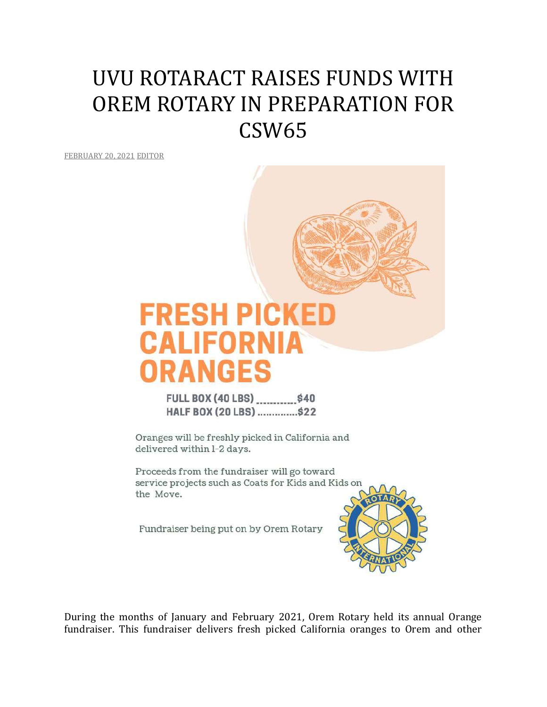## UVU ROTARACT RAISES FUNDS WITH OREM ROTARY IN PREPARATION FOR CSW65

[FEBRUARY](http://utahimf.org/archives/5893) 20, 2021 [EDITOR](http://utahimf.org/archives/author/editor)



Oranges will be freshly picked in California and delivered within 1-2 days.

Proceeds from the fundraiser will go toward service projects such as Coats for Kids and Kids on the Move.

Fundraiser being put on by Orem Rotary



During the months of January and February 2021, Orem Rotary held its annual Orange fundraiser. This fundraiser delivers fresh picked California oranges to Orem and other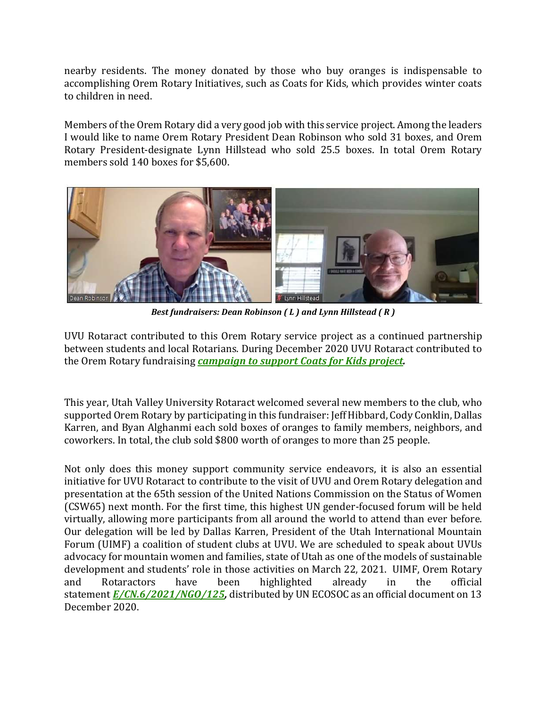nearby residents. The money donated by those who buy oranges is indispensable to accomplishing Orem Rotary Initiatives, such as Coats for Kids, which provides winter coats to children in need.

Members of the Orem Rotary did a very good job with this service project. Among the leaders I would like to name Orem Rotary President Dean Robinson who sold 31 boxes, and Orem Rotary President-designate Lynn Hillstead who sold 25.5 boxes. In total Orem Rotary members sold 140 boxes for \$5,600.



*Best fundraisers: Dean Robinson ( L ) and Lynn Hillstead ( R )*

UVU Rotaract contributed to this Orem Rotary service project as a continued partnership between students and local Rotarians. During December 2020 UVU Rotaract contributed to the Orem Rotary fundraising *[campaign](http://utahimf.org/archives/5838) to support Coats for Kids project.*

This year, Utah Valley University Rotaract welcomed several new members to the club, who supported Orem Rotary by participating in this fundraiser: Jeff Hibbard, Cody Conklin, Dallas Karren, and Byan Alghanmi each sold boxes of oranges to family members, neighbors, and coworkers. In total, the club sold \$800 worth of oranges to more than 25 people.

Not only does this money support community service endeavors, it is also an essential initiative for UVU Rotaract to contribute to the visit of UVU and Orem Rotary delegation and presentation at the 65th session of the United Nations Commission on the Status of Women (CSW65) next month. For the first time, this highest UN gender-focused forum will be held virtually, allowing more participants from all around the world to attend than ever before. Our delegation will be led by Dallas Karren, President of the Utah International Mountain Forum (UIMF) a coalition of student clubs at UVU. We are scheduled to speak about UVUs advocacy for mountain women and families, state of Utah as one of the models of sustainable development and students' role in those activities on March 22, 2021. UIMF, Orem Rotary and Rotaractors have been highlighted already in the official statement *[E/CN.6/2021/NGO/125,](http://utahimf.org/archives/5889)* distributed by UN ECOSOC as an official document on 13 December 2020.